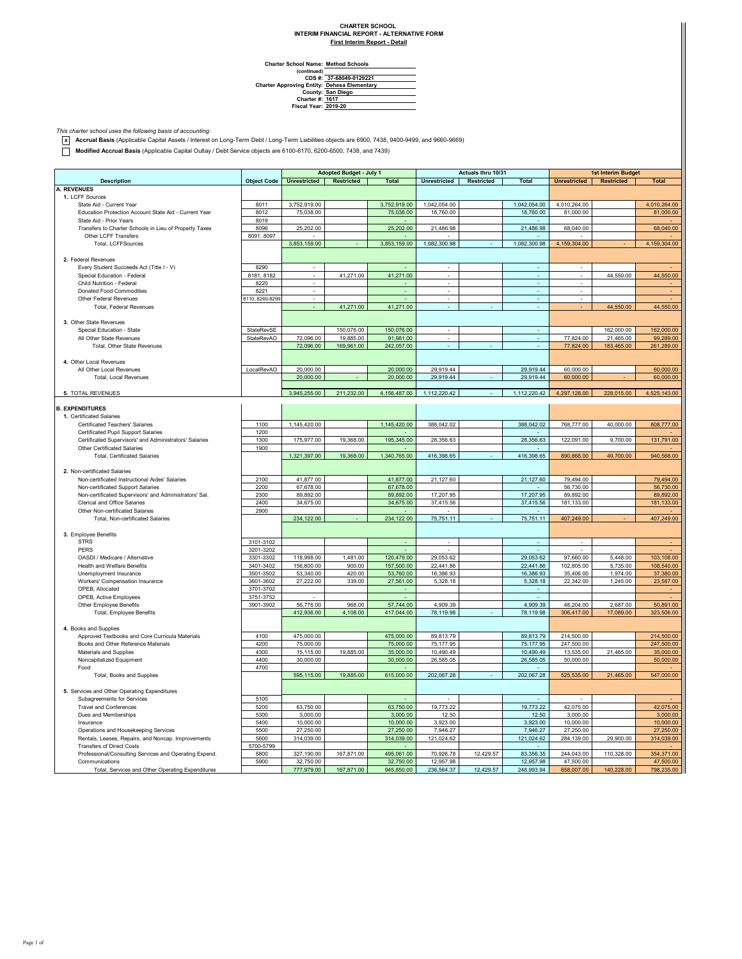## **CHARTER SCHOOL INTERIM FINANCIAL REPORT - ALTERNATIVE FORM**

**First Interim Report - Detail**

| <b>Charter School Name: Method Schools</b> |  |
|--------------------------------------------|--|
| (continued)                                |  |

**(continued) CDS #: Charter Approving Entity: County: Charter #: Fiscal Year: 37-68049-0129221 Dehesa Elementary San Diego 1617 2019-20**

*This charter school uses the following basis of accounting:* **x Accrual Basis** (Applicable Capital Assets / Interest on Long-Term Debt / Long-Term Liabilities objects are 6900, 7438, 9400-9499, and 9660-9669)

**Modified Accrual Basis** (Applicable Capital Outlay / Debt Service objects are 6100-6170, 6200-6500, 7438, and 7439)

|                                                        |                    | Adopted Budget - July 1  |            |              | Actuals thru 10/31       |            |                           | 1st Interim Budget       |                   |              |
|--------------------------------------------------------|--------------------|--------------------------|------------|--------------|--------------------------|------------|---------------------------|--------------------------|-------------------|--------------|
|                                                        |                    |                          |            |              |                          |            |                           |                          |                   |              |
| <b>Description</b>                                     | <b>Object Code</b> | <b>Unrestricted</b>      | Restricted | <b>Total</b> | <b>Unrestricted</b>      | Restricted | Total                     | <b>Unrestricted</b>      | <b>Restricted</b> | <b>Total</b> |
| <b>A. REVENUES</b>                                     |                    |                          |            |              |                          |            |                           |                          |                   |              |
| 1. LCFF Sources<br>State Aid - Current Year            |                    |                          |            |              |                          |            |                           |                          |                   |              |
| Education Protection Account State Aid - Current Year  | 8011<br>8012       | 3,752,919.00             |            | 3,752,919.00 | 1,042,054.00             |            | 1,042,054.00<br>18,760.00 | 4,010,264.00             |                   | 4,010,264.00 |
| State Aid - Prior Years                                | 8019               | 75,038.00                |            | 75,038.00    | 18,760.00                |            |                           | 81,000.00                |                   | 81,000.00    |
|                                                        |                    |                          |            |              |                          |            |                           |                          |                   |              |
| Transfers to Charter Schools in Lieu of Property Taxes | 8096               | 25,202.00                |            | 25,202.00    | 21,486.98                |            | 21,486.98                 | 68,040.00                |                   | 68,040.00    |
| Other LCFF Transfers                                   | 8091, 8097         |                          |            |              |                          |            |                           |                          |                   |              |
| Total, LCFFSources                                     |                    | 3,853,159.00             |            | 3,853,159.00 | 1,082,300.98             |            | 1,082,300.98              | 4,159,304.00             |                   | 4,159,304.00 |
|                                                        |                    |                          |            |              |                          |            |                           |                          |                   |              |
| 2. Federal Revenues                                    |                    |                          |            |              |                          |            |                           |                          |                   |              |
| Every Student Succeeds Act (Title I - V)               | 8290               | $\sim$                   |            |              | $\sim$                   |            | $\sim$                    | ×.                       |                   |              |
| Special Education - Federal                            | 8181, 8182         | $\sim$                   | 41,271.00  | 41,271.00    | ä,                       |            | ÷.                        | ÷.                       | 44,550.00         | 44,550.00    |
| Child Nutrition - Federal                              | 8220               | $\sim$                   |            |              | $\sim$                   |            | ÷.                        | ×                        |                   |              |
| <b>Donated Food Commodities</b>                        | 8221               | $\overline{\phantom{a}}$ |            | ÷            | $\overline{\phantom{a}}$ |            | ÷,                        | $\overline{\phantom{a}}$ |                   |              |
| Other Federal Revenues                                 | 8110, 8260-8299    | $\cdot$                  |            |              | $\overline{\phantom{a}}$ |            | $\sim$                    | $\overline{\phantom{a}}$ |                   |              |
| <b>Total, Federal Revenues</b>                         |                    |                          | 41,271.00  | 41,271.00    |                          |            |                           |                          | 44,550.00         | 44,550.00    |
|                                                        |                    |                          |            |              |                          |            |                           |                          |                   |              |
| 3. Other State Revenues                                |                    |                          |            |              |                          |            |                           |                          |                   |              |
| Special Education - State                              | StateRevSE         |                          | 150,076.00 | 150,076.00   |                          |            |                           |                          | 162,000.00        | 162,000.00   |
| All Other State Revenues                               | StateRevAO         | 72,096.00                | 19,885.00  | 91,981.00    |                          |            |                           | 77,824.00                | 21,465.00         | 99,289.00    |
| Total, Other State Revenues                            |                    | 72,096.00                | 169,961.00 | 242,057.00   |                          |            |                           | 77,824.00                | 183,465.00        | 261,289.00   |
|                                                        |                    |                          |            |              |                          |            |                           |                          |                   |              |
| 4. Other Local Revenues                                |                    |                          |            |              |                          |            |                           |                          |                   |              |
| All Other Local Revenues                               | LocalRevAO         | 20,000.00                |            | 20,000.00    | 29,919.44                |            | 29,919.44                 | 60,000.00                |                   | 60,000.00    |
| Total, Local Revenues                                  |                    | 20,000.00                |            | 20,000.00    | 29,919.44                |            | 29,919.44                 | 60,000.00                |                   | 60,000.00    |
|                                                        |                    |                          |            |              |                          |            |                           |                          |                   |              |
| 5. TOTAL REVENUES                                      |                    | 3.945.255.00             | 211.232.00 | 4.156.487.00 | 1.112.220.42             |            | 1.112.220.42              | 4.297.128.00             | 228.015.00        | 4.525.143.00 |
|                                                        |                    |                          |            |              |                          |            |                           |                          |                   |              |
| <b>B. EXPENDITURES</b>                                 |                    |                          |            |              |                          |            |                           |                          |                   |              |
| 1. Certificated Salaries                               |                    |                          |            |              |                          |            |                           |                          |                   |              |
| Certificated Teachers' Salaries                        | 1100               | 1,145,420.00             |            | 1,145,420.00 | 388,042.02               |            | 388,042.02                | 768,777.00               | 40,000.00         | 808,777.00   |
| Certificated Pupil Support Salaries                    | 1200               |                          |            |              |                          |            |                           |                          |                   |              |
| Certificated Supervisors' and Administrators' Salaries | 1300               | 175,977.00               | 19,368.00  | 195,345.00   | 28,356.63                |            | 28,356.63                 | 122,091.00               | 9,700.00          | 131,791.00   |
| Other Certificated Salaries                            | 1900               |                          |            |              |                          |            |                           |                          |                   |              |
| <b>Total, Certificated Salaries</b>                    |                    | 1,321,397.00             | 19,368.00  | 1,340,765.00 | 416,398.65               |            | 416,398.65                | 890,868.00               | 49,700.00         | 940,568.00   |
|                                                        |                    |                          |            |              |                          |            |                           |                          |                   |              |
| 2. Non-certificated Salaries                           |                    |                          |            |              |                          |            |                           |                          |                   |              |
| Non-certificated Instructional Aides' Salaries         | 2100               | 41,877.00                |            | 41,877.00    | 21,127.60                |            | 21,127.60                 | 79,494.00                |                   | 79,494.00    |
| Non-certificated Support Salaries                      | 2200               | 67,678.00                |            | 67,678.00    |                          |            |                           | 56,730.00                |                   | 56,730.00    |
| Non-certificated Supervisors' and Administrators' Sal. | 2300               | 89,892.00                |            | 89,892.00    | 17.207.95                |            | 17,207.95                 | 89.892.00                |                   | 89,892.00    |
| Clerical and Office Salaries                           | 2400               | 34,675.00                |            | 34,675.00    | 37,415.56                |            | 37,415.56                 | 181,133.00               |                   | 181,133.00   |
| Other Non-certificated Salaries                        | 2900               |                          |            |              |                          |            |                           |                          |                   |              |
| Total, Non-certificated Salaries                       |                    | 234,122.00               |            | 234,122.00   | 75,751.11                |            | 75,751.11                 | 407,249.00               |                   | 407,249.00   |
|                                                        |                    |                          |            |              |                          |            |                           |                          |                   |              |
| 3. Employee Benefits                                   |                    |                          |            |              |                          |            |                           |                          |                   |              |
| <b>STRS</b>                                            | 3101-3102          |                          |            | $\sim$       | ٠                        |            | ٠                         | ٠                        |                   |              |
| PERS                                                   | 3201-3202          |                          |            |              |                          |            |                           |                          |                   |              |
| OASDI / Medicare / Alternative                         | 3301-3302          | 118,998.00               | 1,481.00   | 120,479.00   | 29,053.62                |            | 29,053.62                 | 97,660.00                | 5,448.00          | 103,108.00   |
| Health and Welfare Benefits                            | 3401-3402          | 156,600.00               | 900.00     | 157,500.00   | 22,441.86                |            | 22,441.86                 | 102,805.00               | 5,735.00          | 108,540.00   |
| Unemployment Insurance                                 | 3501-3502          | 53,340.00                | 420.00     | 53,760.00    | 16,386.93                |            | 16,386.93                 | 35,406.00                | 1,974.00          | 37,380.00    |
| Workers' Compensation Insurance                        | 3601-3602          | 27,222.00                | 339.00     | 27,561.00    | 5,328.18                 |            | 5,328.18                  | 22,342.00                | 1,245.00          | 23,587.00    |
| OPEB. Allocated                                        | 3701-3702          |                          |            |              |                          |            |                           |                          |                   |              |
| OPEB, Active Employees                                 | 3751-3752          |                          |            |              |                          |            |                           |                          |                   |              |
| Other Employee Benefits                                | 3901-3902          | 56,776.00                | 968.00     | 57,744.00    | 4,909.39                 |            | 4,909.39                  | 48,204.00                | 2,687.00          | 50,891.00    |
| Total, Employee Benefits                               |                    | 412,936.00               | 4,108.00   | 417,044.00   | 78,119.98                |            | 78,119.98                 | 306,417.00               | 17,089.00         | 323,506.00   |
|                                                        |                    |                          |            |              |                          |            |                           |                          |                   |              |
| 4. Books and Supplies                                  |                    |                          |            |              |                          |            |                           |                          |                   |              |
| Approved Textbooks and Core Curricula Materials        | 4100               | 475,000.00               |            | 475,000.00   | 89,813.79                |            | 89,813.79                 | 214,500.00               |                   | 214,500.00   |
| Books and Other Reference Materials                    | 4200               | 75,000.00                |            | 75,000.00    | 75, 177.95               |            | 75,177.95                 | 247,500.00               |                   | 247,500.00   |
| Materials and Supplies                                 | 4300               | 15,115.00                | 19,885.00  | 35,000.00    | 10,490.49                |            | 10,490.49                 | 13,535.00                | 21.465.00         | 35,000.00    |
| Noncapitalized Equipment                               | 4400               | 30,000.00                |            | 30,000.00    | 26,585.05                |            | 26,585.05                 | 50,000.00                |                   | 50,000.00    |
| Food                                                   | 4700               |                          |            |              |                          |            |                           |                          |                   |              |
| Total, Books and Supplies                              |                    | 595,115.00               | 19,885.00  | 615,000.00   | 202,067.28               |            | 202,067.28                | 525,535.00               | 21,465.00         | 547,000.00   |
|                                                        |                    |                          |            |              |                          |            |                           |                          |                   |              |
| 5. Services and Other Operating Expenditures           |                    |                          |            |              |                          |            |                           |                          |                   |              |
| Subagreements for Services                             | 5100               |                          |            |              |                          |            |                           |                          |                   |              |
| <b>Travel and Conferences</b>                          | 5200               | 63,750.00                |            | 63,750.00    | 19,773.22                |            | 19,773,22                 | 42,075.00                |                   | 42,075.00    |
| Dues and Memberships                                   | 5300               | 3,000.00                 |            | 3,000.00     | 12.50                    |            | 12.50                     | 3,000.00                 |                   |              |
|                                                        |                    |                          |            |              |                          |            |                           |                          |                   | 3,000.00     |
| Insurance                                              | 5400               | 10,000.00                |            | 10,000.00    | 3,923.00                 |            | 3,923.00                  | 10,000.00                |                   | 10,000.00    |
| Operations and Housekeeping Services                   | 5500               | 27,250.00                |            | 27,250.00    | 7,946.27                 |            | 7,946.27                  | 27,250.00                |                   | 27,250.00    |
| Rentals, Leases, Repairs, and Noncap. Improvements     | 5600               | 314,039.00               |            | 314,039.00   | 121,024.62               |            | 121,024.62                | 284,139.00               | 29,900.00         | 314,039.00   |
| <b>Transfers of Direct Costs</b>                       | 5700-5799          |                          |            |              |                          |            |                           |                          |                   |              |
| Professional/Consulting Services and Operating Expend. | 5800               | 327,190.00               | 167,871.00 | 495,061.00   | 70,926.78                | 12,429.57  | 83,356.35                 | 244,043.00               | 110,328.00        | 354,371.00   |
| Communications                                         | 5900               | 32.750.00                |            | 32.750.00    | 12.957.98                |            | 12.957.98                 | 47,500.00                |                   | 47,500.00    |
| Total, Services and Other Operating Expenditures       |                    | 777,979.00               | 167,871.00 | 945,850.00   | 236,564.37               | 12,429.57  | 248,993.94                | 658,007.00               | 140,228.00        | 798,235.00   |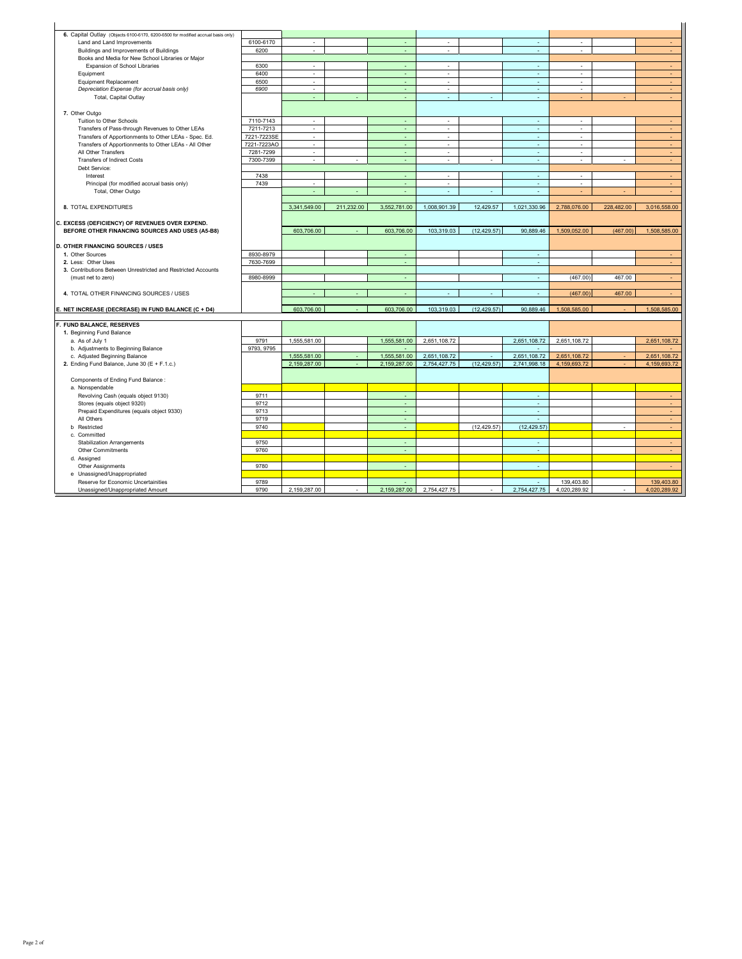| 6. Capital Outlay (Objects 6100-6170, 6200-6500 for modified accrual basis only) |             |                          |            |              |                          |              |              |              |            |              |
|----------------------------------------------------------------------------------|-------------|--------------------------|------------|--------------|--------------------------|--------------|--------------|--------------|------------|--------------|
| Land and Land Improvements                                                       | 6100-6170   | $\overline{\phantom{a}}$ |            |              | ×.                       |              | ٠            | ٠            |            | $\sim$       |
| Buildings and Improvements of Buildings                                          | 6200        | $\mathcal{L}$            |            | ÷.           | ÷.                       |              | ä,           | ×.           |            | $\sim$       |
| Books and Media for New School Libraries or Major                                |             |                          |            |              |                          |              |              |              |            |              |
| Expansion of School Libraries                                                    | 6300        | ×.                       |            | ÷            | $\sim$                   |              | ×.           | ×            |            | $\sim$       |
| Equipment                                                                        | 6400        | $\epsilon$               |            | ÷            | $\epsilon$               |              | $\omega$     | $\epsilon$   |            | ÷.           |
| <b>Equipment Replacement</b>                                                     | 6500        | $\epsilon$               |            | $\sim$       | $\sim$                   |              | ×            | $\sim$       |            | $\sim$       |
| Depreciation Expense (for accrual basis only)                                    | 6900        | ٠                        |            | ÷            | $\overline{\phantom{a}}$ |              | ×,           | ٠            |            | ÷.           |
| Total, Capital Outlay                                                            |             | ä,                       |            | ÷            | ×,                       | ÷            | ÷.           | ÷            | ä,         | $\sim$       |
|                                                                                  |             |                          |            |              |                          |              |              |              |            |              |
| 7. Other Outgo                                                                   |             |                          |            |              |                          |              |              |              |            |              |
| Tuition to Other Schools                                                         | 7110-7143   | ٠                        |            | ÷            | ٠                        |              | ÷.           | ٠            |            | $\sim$       |
| Transfers of Pass-through Revenues to Other LEAs                                 | 7211-7213   | $\overline{\phantom{a}}$ |            | ÷.           | $\overline{\phantom{a}}$ |              | $\omega$     | ٠            |            | $\sim$       |
| Transfers of Apportionments to Other LEAs - Spec. Ed.                            | 7221-7223SE | $\overline{\phantom{a}}$ |            |              | ä,                       |              | ä,           |              |            | ÷.           |
| Transfers of Apportionments to Other LEAs - All Other                            | 7221-7223AO | $\sim$                   |            | ÷            | $\sim$                   |              | ×            | ٠            |            | ÷.           |
| All Other Transfers                                                              | 7281-7299   | $\mathbf{r}$             |            | ÷.           | ÷.                       |              | ÷.           | ×.           |            | $\sim$       |
| <b>Transfers of Indirect Costs</b>                                               | 7300-7399   | $\sim$                   | ÷.         | ÷            | ÷.                       | ÷            | $\omega$     | $\sim$       | ×          | $\sim$       |
| Debt Service:                                                                    |             |                          |            |              |                          |              |              |              |            |              |
| Interest                                                                         | 7438        |                          |            | $\sim$       | ×,                       |              | ×            | ×            |            | $\sim$       |
| Principal (for modified accrual basis only)                                      | 7439        | ×.                       |            | $\sim$       | $\sim$                   |              | $\omega$     | ×.           |            | ×.           |
| Total, Other Outgo                                                               |             |                          |            |              |                          |              |              |              |            |              |
|                                                                                  |             |                          |            |              |                          |              |              |              |            |              |
| 8. TOTAL EXPENDITURES                                                            |             | 3,341,549.00             | 211,232.00 | 3,552,781.00 | 1,008,901.39             | 12,429.57    | 1,021,330.96 | 2,788,076.00 | 228,482.00 | 3,016,558.00 |
|                                                                                  |             |                          |            |              |                          |              |              |              |            |              |
| C. EXCESS (DEFICIENCY) OF REVENUES OVER EXPEND.                                  |             |                          |            |              |                          |              |              |              |            |              |
| BEFORE OTHER FINANCING SOURCES AND USES (A5-B8)                                  |             | 603,706.00               |            | 603,706.00   | 103.319.03               | (12.429.57)  | 90.889.46    | 1,509,052.00 | (467.00)   | 1.508.585.00 |
|                                                                                  |             |                          |            |              |                          |              |              |              |            |              |
| <b>D. OTHER FINANCING SOURCES / USES</b>                                         |             |                          |            |              |                          |              |              |              |            |              |
| 1. Other Sources                                                                 | 8930-8979   |                          |            | ÷            |                          |              | ÷            |              |            |              |
| 2. Less: Other Uses                                                              | 7630-7699   |                          |            | ÷            |                          |              | $\sim$       |              |            | $\sim$       |
| 3. Contributions Between Unrestricted and Restricted Accounts                    |             |                          |            |              |                          |              |              |              |            |              |
| (must net to zero)                                                               | 8980-8999   |                          |            | $\sim$       |                          |              | ×            | (467.00)     | 467.00     | $\sim$       |
|                                                                                  |             |                          |            |              |                          |              |              |              |            |              |
| 4. TOTAL OTHER FINANCING SOURCES / USES                                          |             |                          |            |              |                          |              | ÷            | (467.00)     | 467.00     |              |
| E. NET INCREASE (DECREASE) IN FUND BALANCE (C + D4)                              |             | 603,706.00               |            | 603,706.00   | 103,319.03               | (12, 429.57) | 90,889.46    |              |            | 1.508.585.00 |
|                                                                                  |             |                          |            |              |                          |              |              | 1,508,585.00 |            |              |
| F. FUND BALANCE, RESERVES                                                        |             |                          |            |              |                          |              |              |              |            |              |
| 1. Beginning Fund Balance                                                        |             |                          |            |              |                          |              |              |              |            |              |
| a. As of July 1                                                                  | 9791        | 1,555,581.00             |            | 1,555,581.00 | 2,651,108.72             |              | 2,651,108.72 | 2,651,108.72 |            | 2,651,108.72 |
| b. Adjustments to Beginning Balance                                              | 9793, 9795  |                          |            | $\sim$       |                          |              | ÷.           |              |            |              |
| c. Adjusted Beginning Balance                                                    |             | 1,555,581.00             |            | 1.555.581.00 | 2,651,108.72             |              | 2,651,108.72 | 2,651,108.72 |            | 2,651,108.72 |
| 2. Ending Fund Balance, June 30 (E + F.1.c.)                                     |             | 2,159,287.00             |            | 2,159,287.00 | 2,754,427.75             | (12, 429.57) | 2,741,998.18 | 4,159,693.72 |            | 4,159,693.72 |
|                                                                                  |             |                          |            |              |                          |              |              |              |            |              |
| Components of Ending Fund Balance :                                              |             |                          |            |              |                          |              |              |              |            |              |
| a. Nonspendable                                                                  |             |                          |            |              |                          |              |              |              |            |              |
| Revolving Cash (equals object 9130)                                              | 9711        |                          |            | ÷            |                          |              | ÷.           |              |            | $\sim$       |
| Stores (equals object 9320)                                                      | 9712        |                          |            | ÷.           |                          |              | ÷.           |              |            | $\omega$     |
| Prepaid Expenditures (equals object 9330)                                        | 9713        |                          |            |              |                          |              | ٠            |              |            | $\sim$       |
| All Others                                                                       | 9719        |                          |            | ÷.           |                          |              | ÷.           |              |            | $\omega$ .   |
| <b>b</b> Restricted                                                              | 9740        |                          |            | ÷.           |                          | (12, 429.57) | (12.429.57)  |              | ×,         | ÷.           |
| c. Committed                                                                     |             |                          |            |              |                          |              |              |              |            |              |
| <b>Stabilization Arrangements</b>                                                | 9750        |                          |            |              |                          |              | ٠            |              |            | ٠            |
| Other Commitments                                                                | 9760        |                          |            |              |                          |              | ÷            |              |            | $\sim$       |
| d. Assigned                                                                      |             |                          |            |              |                          |              |              |              |            |              |
| Other Assignments                                                                | 9780        |                          |            | $\sim$       |                          |              | $\sim$       |              |            | $\sim$       |
| e Unassigned/Unappropriated                                                      |             |                          |            |              |                          |              |              |              |            |              |
| Reserve for Economic Uncertainities                                              | 9789        |                          |            |              |                          |              | $\sim$       | 139,403.80   |            | 139,403.80   |
|                                                                                  |             |                          |            |              |                          |              |              |              |            |              |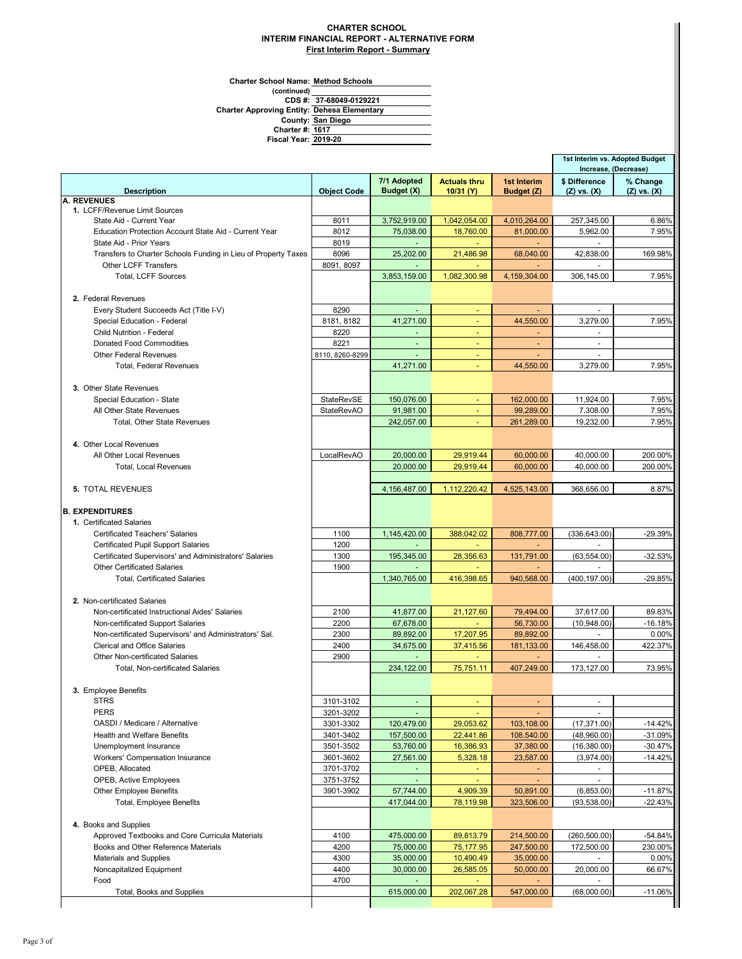## **CHARTER SCHOOL INTERIM FINANCIAL REPORT - ALTERNATIVE FORM First Interim Report - Summary**

**Charter School Name: Method Schools**

**Fiscal Year:**

**(continued) 37-68049-0129221 1617 San Diego Dehesa Elementary County: Charter #: Charter Approving Entity: CDS #:**

**2019-20**

|                                                                                               |                    |                |                       |                         | 1st Interim vs. Adopted Budget<br>Increase, (Decrease) |                 |
|-----------------------------------------------------------------------------------------------|--------------------|----------------|-----------------------|-------------------------|--------------------------------------------------------|-----------------|
|                                                                                               |                    | 7/1 Adopted    | <b>Actuals thru</b>   | 1st Interim             | \$ Difference                                          | % Change        |
| <b>Description</b>                                                                            | <b>Object Code</b> | Budget (X)     | 10/31 (Y)             | Budget (Z)              | $(Z)$ vs. $(X)$                                        | $(Z)$ vs. $(X)$ |
| A. REVENUES<br>1. LCFF/Revenue Limit Sources                                                  |                    |                |                       |                         |                                                        |                 |
| State Aid - Current Year                                                                      | 8011               | 3,752,919.00   | 1,042,054.00          | 4,010,264.00            | 257,345.00                                             | 6.86%           |
| Education Protection Account State Aid - Current Year                                         | 8012               | 75,038.00      | 18,760.00             | 81,000.00               | 5,962.00                                               | 7.95%           |
| State Aid - Prior Years                                                                       | 8019               | $\sim$         | $\omega_{\rm{eff}}$   | $\sim$                  | $\sim$                                                 |                 |
| Transfers to Charter Schools Funding in Lieu of Property Taxes                                | 8096               | 25,202.00      | 21,486.98             | 68,040.00               | 42,838.00                                              | 169.98%         |
| <b>Other LCFF Transfers</b>                                                                   | 8091, 8097         |                | $\sim$                |                         | $\sim$                                                 |                 |
| <b>Total, LCFF Sources</b>                                                                    |                    | 3,853,159.00   | 1,082,300.98          | 4,159,304.00            | 306,145.00                                             | 7.95%           |
|                                                                                               |                    |                |                       |                         |                                                        |                 |
| 2. Federal Revenues                                                                           |                    |                |                       |                         |                                                        |                 |
| Every Student Succeeds Act (Title I-V)                                                        | 8290               |                |                       |                         |                                                        |                 |
| Special Education - Federal                                                                   | 8181, 8182         | 41,271.00      | $\blacksquare$        | 44,550.00               | 3,279.00                                               | 7.95%           |
| Child Nutrition - Federal                                                                     | 8220               |                |                       | ٠                       |                                                        |                 |
| <b>Donated Food Commodities</b>                                                               | 8221               | $\sim$         | $\sim$                | $\sim$                  | $\tilde{\phantom{a}}$                                  |                 |
| <b>Other Federal Revenues</b>                                                                 | 8110, 8260-8299    | $\sim$         | $\sim$                | $\blacksquare$          |                                                        |                 |
| <b>Total, Federal Revenues</b>                                                                |                    | 41,271.00      | $\blacksquare$        | 44,550.00               | 3,279.00                                               | 7.95%           |
|                                                                                               |                    |                |                       |                         |                                                        |                 |
| 3. Other State Revenues                                                                       |                    |                |                       |                         |                                                        |                 |
| Special Education - State                                                                     | <b>StateRevSE</b>  | 150,076.00     |                       | 162,000.00              | 11,924.00                                              | 7.95%           |
| All Other State Revenues                                                                      | <b>StateRevAO</b>  | 91,981.00      | $\blacksquare$        | 99,289.00               | 7,308.00                                               | 7.95%           |
| <b>Total. Other State Revenues</b>                                                            |                    | 242,057.00     |                       | 261,289.00              | 19,232.00                                              | 7.95%           |
|                                                                                               |                    |                |                       |                         |                                                        |                 |
| 4. Other Local Revenues                                                                       |                    |                |                       |                         |                                                        |                 |
| All Other Local Revenues                                                                      | LocalRevAO         | 20,000.00      | 29,919.44             | 60.000.00               | 40,000.00                                              | 200.00%         |
| <b>Total, Local Revenues</b>                                                                  |                    | 20,000.00      | 29,919.44             | 60,000.00               | 40,000.00                                              | 200.00%         |
|                                                                                               |                    |                |                       |                         |                                                        |                 |
| <b>5. TOTAL REVENUES</b>                                                                      |                    | 4,156,487.00   | 1,112,220.42          | 4,525,143.00            | 368,656.00                                             | 8.87%           |
|                                                                                               |                    |                |                       |                         |                                                        |                 |
| <b>B. EXPENDITURES</b>                                                                        |                    |                |                       |                         |                                                        |                 |
| 1. Certificated Salaries                                                                      |                    |                |                       |                         |                                                        |                 |
| <b>Certificated Teachers' Salaries</b>                                                        | 1100               | 1,145,420.00   | 388,042.02            | 808,777.00              | (336, 643.00)                                          | $-29.39%$       |
| <b>Certificated Pupil Support Salaries</b>                                                    | 1200               |                |                       |                         |                                                        |                 |
| Certificated Supervisors' and Administrators' Salaries                                        | 1300               | 195,345.00     | 28,356.63             | 131,791.00              | (63, 554.00)                                           | $-32.53%$       |
| <b>Other Certificated Salaries</b>                                                            | 1900               |                |                       |                         |                                                        |                 |
| <b>Total, Certificated Salaries</b>                                                           |                    | 1,340,765.00   | 416,398.65            | 940,568.00              | (400, 197.00)                                          | -29.85%         |
|                                                                                               |                    |                |                       |                         |                                                        |                 |
| 2. Non-certificated Salaries                                                                  |                    |                |                       |                         |                                                        |                 |
| Non-certificated Instructional Aides' Salaries                                                | 2100               | 41,877.00      | 21,127.60             | 79,494.00               | 37,617.00                                              | 89.83%          |
| Non-certificated Support Salaries                                                             | 2200               | 67,678.00      |                       | 56,730.00               | (10,948.00)                                            | $-16.18%$       |
| Non-certificated Supervisors' and Administrators' Sal.<br><b>Clerical and Office Salaries</b> | 2300               | 89,892.00      | 17,207.95             | 89,892.00<br>181,133.00 |                                                        | 0.00%           |
| Other Non-certificated Salaries                                                               | 2400<br>2900       | 34,675.00      | 37,415.56<br>$\omega$ | $\sim$                  | 146,458.00<br>÷.                                       | 422.37%         |
| <b>Total, Non-certificated Salaries</b>                                                       |                    | 234,122.00     | 75,751.11             | 407.249.00              | 173.127.00                                             | 73.95%          |
|                                                                                               |                    |                |                       |                         |                                                        |                 |
| 3. Employee Benefits                                                                          |                    |                |                       |                         |                                                        |                 |
| <b>STRS</b>                                                                                   | 3101-3102          | $\blacksquare$ | ٠                     |                         | $\blacksquare$                                         |                 |
| <b>PERS</b>                                                                                   | 3201-3202          |                |                       |                         |                                                        |                 |
| OASDI / Medicare / Alternative                                                                | 3301-3302          | 120,479.00     | 29,053.62             | 103,108.00              | (17, 371.00)                                           | $-14.42%$       |
| Health and Welfare Benefits                                                                   | 3401-3402          | 157,500.00     | 22,441.86             | 108,540.00              | (48,960.00)                                            | $-31.09%$       |
| Unemployment Insurance                                                                        | 3501-3502          | 53,760.00      | 16,386.93             | 37,380.00               | (16, 380.00)                                           | $-30.47%$       |
| Workers' Compensation Insurance                                                               | 3601-3602          | 27,561.00      | 5,328.18              | 23,587.00               | (3,974.00)                                             | $-14.42%$       |
| OPEB, Allocated                                                                               | 3701-3702          | $\blacksquare$ | $\sim$                | ٠                       | $\overline{\phantom{a}}$                               |                 |
| OPEB, Active Employees                                                                        | 3751-3752          | $\sim$         | $\sim$                | $\sim$                  | $\blacksquare$                                         |                 |
| <b>Other Employee Benefits</b>                                                                | 3901-3902          | 57,744.00      | 4,909.39              | 50,891.00               | (6,853.00)                                             | $-11.87%$       |
| Total, Employee Benefits                                                                      |                    | 417,044.00     | 78,119.98             | 323,506.00              | (93, 538.00)                                           | $-22.43%$       |
|                                                                                               |                    |                |                       |                         |                                                        |                 |
| 4. Books and Supplies                                                                         |                    |                |                       |                         |                                                        |                 |
| Approved Textbooks and Core Curricula Materials                                               | 4100               | 475,000.00     | 89,813.79             | 214,500.00              | (260, 500.00)                                          | $-54.84%$       |
| Books and Other Reference Materials                                                           | 4200               | 75,000.00      | 75,177.95             | 247,500.00              | 172,500.00                                             | 230.00%         |
| <b>Materials and Supplies</b>                                                                 | 4300               | 35,000.00      | 10,490.49             | 35,000.00               |                                                        | 0.00%           |
| Noncapitalized Equipment                                                                      | 4400               | 30,000.00      | 26,585.05             | 50,000.00               | 20,000.00                                              | 66.67%          |
| Food                                                                                          | 4700               |                |                       |                         |                                                        |                 |
| Total, Books and Supplies                                                                     |                    | 615,000.00     | 202,067.28            | 547,000.00              | (68,000.00)                                            | $-11.06%$       |
|                                                                                               |                    |                |                       |                         |                                                        |                 |
|                                                                                               |                    |                |                       |                         |                                                        |                 |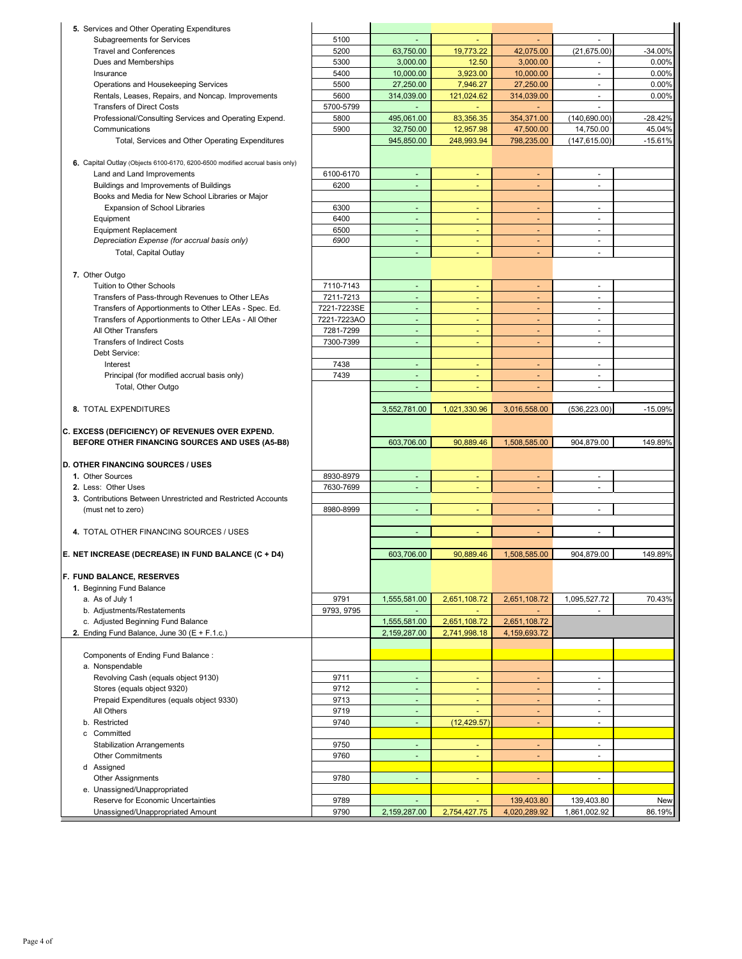| 5. Services and Other Operating Expenditures                                                       |              |                          |                          |                              |                                    |               |
|----------------------------------------------------------------------------------------------------|--------------|--------------------------|--------------------------|------------------------------|------------------------------------|---------------|
| Subagreements for Services                                                                         | 5100         |                          |                          |                              |                                    |               |
| <b>Travel and Conferences</b>                                                                      | 5200         | 63.750.00                | 19,773.22                | 42,075.00                    | (21, 675.00)                       | $-34.00%$     |
| Dues and Memberships                                                                               | 5300         | 3.000.00                 | 12.50                    | 3,000.00                     |                                    | 0.00%         |
| Insurance                                                                                          | 5400         | 10,000.00                | 3,923.00                 |                              |                                    | 0.00%         |
|                                                                                                    | 5500         | 27,250.00                | 7,946.27                 | 10,000.00                    | $\overline{\phantom{a}}$<br>$\sim$ |               |
| Operations and Housekeeping Services                                                               |              |                          |                          | 27,250.00                    |                                    | 0.00%         |
| Rentals, Leases, Repairs, and Noncap. Improvements                                                 | 5600         | 314,039.00               | 121,024.62               | 314,039.00                   | $\blacksquare$                     | 0.00%         |
| <b>Transfers of Direct Costs</b>                                                                   | 5700-5799    | $\omega$                 | ÷                        |                              |                                    |               |
| Professional/Consulting Services and Operating Expend.                                             | 5800         | 495,061.00               | 83,356.35                | 354,371.00                   | (140, 690.00)                      | $-28.42%$     |
| Communications                                                                                     | 5900         | 32,750.00                | 12,957.98                | 47,500.00                    | 14,750.00                          | 45.04%        |
| Total, Services and Other Operating Expenditures                                                   |              | 945,850.00               | 248,993.94               | 798,235.00                   | (147, 615.00)                      | $-15.61%$     |
|                                                                                                    |              |                          |                          |                              |                                    |               |
| 6. Capital Outlay (Objects 6100-6170, 6200-6500 modified accrual basis only)                       |              |                          |                          |                              |                                    |               |
| Land and Land Improvements                                                                         | 6100-6170    | $\omega$                 | $\blacksquare$           | $\blacksquare$               | ä,                                 |               |
| Buildings and Improvements of Buildings                                                            | 6200         | ÷,                       |                          |                              |                                    |               |
| Books and Media for New School Libraries or Major                                                  |              |                          |                          |                              |                                    |               |
| Expansion of School Libraries                                                                      | 6300         | $\blacksquare$           | ٠                        | ٠                            | $\sim$                             |               |
| Equipment                                                                                          | 6400         | $\blacksquare$           | $\blacksquare$           | ٠                            | $\blacksquare$                     |               |
| <b>Equipment Replacement</b>                                                                       | 6500         | $\blacksquare$           | ٠                        | $\blacksquare$               | $\overline{\phantom{a}}$           |               |
| Depreciation Expense (for accrual basis only)                                                      | 6900         | $\blacksquare$           | $\blacksquare$           | $\blacksquare$               | $\overline{\phantom{a}}$           |               |
| Total, Capital Outlay                                                                              |              |                          |                          | $\blacksquare$               | ä,                                 |               |
|                                                                                                    |              |                          |                          |                              |                                    |               |
| 7. Other Outgo                                                                                     |              |                          |                          |                              |                                    |               |
| Tuition to Other Schools                                                                           | 7110-7143    | $\blacksquare$           | ٠                        | $\overline{\phantom{a}}$     | $\ddot{\phantom{1}}$               |               |
| Transfers of Pass-through Revenues to Other LEAs                                                   | 7211-7213    | ÷,                       |                          | $\qquad \qquad \blacksquare$ | ä,                                 |               |
| Transfers of Apportionments to Other LEAs - Spec. Ed.                                              | 7221-7223SE  | $\blacksquare$           | ٠                        |                              | $\blacksquare$                     |               |
| Transfers of Apportionments to Other LEAs - All Other                                              | 7221-7223AO  | $\blacksquare$           | $\blacksquare$           | $\blacksquare$               | ä,                                 |               |
| All Other Transfers                                                                                | 7281-7299    | $\overline{\phantom{a}}$ | ٠                        | ٠                            | $\blacksquare$                     |               |
| <b>Transfers of Indirect Costs</b>                                                                 | 7300-7399    | $\blacksquare$           | $\blacksquare$           | ٠                            | ٠                                  |               |
| Debt Service:                                                                                      |              |                          |                          |                              |                                    |               |
| Interest                                                                                           | 7438         | $\blacksquare$           | $\overline{\phantom{a}}$ | $\blacksquare$               | $\overline{\phantom{a}}$           |               |
| Principal (for modified accrual basis only)                                                        | 7439         | $\blacksquare$           | ä,                       | $\overline{\phantom{a}}$     | $\blacksquare$                     |               |
| Total, Other Outgo                                                                                 |              | $\omega$                 |                          | $\blacksquare$               | ä,                                 |               |
|                                                                                                    |              |                          |                          |                              |                                    |               |
| 8. TOTAL EXPENDITURES                                                                              |              | 3,552,781.00             | 1,021,330.96             | 3,016,558.00                 | (536, 223.00)                      | $-15.09%$     |
|                                                                                                    |              |                          |                          |                              |                                    |               |
|                                                                                                    |              |                          |                          |                              |                                    |               |
|                                                                                                    |              |                          |                          |                              |                                    |               |
| C. EXCESS (DEFICIENCY) OF REVENUES OVER EXPEND.<br>BEFORE OTHER FINANCING SOURCES AND USES (A5-B8) |              | 603,706.00               | 90,889.46                | 1,508,585.00                 | 904,879.00                         | 149.89%       |
|                                                                                                    |              |                          |                          |                              |                                    |               |
| D. OTHER FINANCING SOURCES / USES                                                                  |              |                          |                          |                              |                                    |               |
| 1. Other Sources                                                                                   | 8930-8979    | $\overline{\phantom{a}}$ |                          | ٠                            | ٠                                  |               |
| 2. Less: Other Uses                                                                                |              | $\sim$                   | ٠                        | $\overline{\phantom{a}}$     | $\overline{a}$                     |               |
|                                                                                                    | 7630-7699    |                          |                          |                              |                                    |               |
| 3. Contributions Between Unrestricted and Restricted Accounts                                      | 8980-8999    | $\blacksquare$           | Ξ                        | $\blacksquare$               | $\blacksquare$                     |               |
| (must net to zero)                                                                                 |              |                          |                          |                              |                                    |               |
| 4. TOTAL OTHER FINANCING SOURCES / USES                                                            |              | ä,                       |                          | $\blacksquare$               | ÷,                                 |               |
|                                                                                                    |              |                          |                          |                              |                                    |               |
|                                                                                                    |              |                          |                          |                              |                                    |               |
| E. NET INCREASE (DECREASE) IN FUND BALANCE (C + D4)                                                |              | 603,706.00               | 90,889.46                | 1,508,585.00                 | 904,879.00                         | 149.89%       |
|                                                                                                    |              |                          |                          |                              |                                    |               |
| F. FUND BALANCE, RESERVES                                                                          |              |                          |                          |                              |                                    |               |
| 1. Beginning Fund Balance                                                                          |              |                          |                          |                              |                                    |               |
| a. As of July 1                                                                                    | 9791         | 1,555,581.00             | 2,651,108.72             | 2,651,108.72                 | 1,095,527.72                       | 70.43%        |
| b. Adjustments/Restatements                                                                        | 9793, 9795   | $\blacksquare$           | $\sim$                   | $\blacksquare$               |                                    |               |
| c. Adjusted Beginning Fund Balance                                                                 |              | 1,555,581.00             | 2,651,108.72             | 2,651,108.72                 |                                    |               |
| 2. Ending Fund Balance, June 30 ( $E + F.1.c.$ )                                                   |              | 2,159,287.00             | 2,741,998.18             | 4,159,693.72                 |                                    |               |
|                                                                                                    |              |                          |                          |                              |                                    |               |
| Components of Ending Fund Balance:                                                                 |              |                          |                          |                              |                                    |               |
| a. Nonspendable                                                                                    |              |                          |                          |                              |                                    |               |
| Revolving Cash (equals object 9130)                                                                | 9711         | $\omega$                 | ٠                        | ÷.                           | $\blacksquare$                     |               |
| Stores (equals object 9320)                                                                        | 9712         | $\blacksquare$           | $\overline{\phantom{a}}$ | $\blacksquare$               | $\blacksquare$                     |               |
| Prepaid Expenditures (equals object 9330)                                                          | 9713         | $\blacksquare$           | ٠                        | $\blacksquare$               | $\blacksquare$                     |               |
| All Others                                                                                         | 9719         | ٠                        |                          | ۳                            | $\overline{\phantom{a}}$           |               |
| b. Restricted                                                                                      | 9740         | ä,                       | (12, 429.57)             | $\blacksquare$               | ä,                                 |               |
| c Committed                                                                                        |              |                          |                          |                              |                                    |               |
| <b>Stabilization Arrangements</b>                                                                  | 9750         | $\omega$                 | ٠                        | $\blacksquare$               | $\blacksquare$                     |               |
| <b>Other Commitments</b>                                                                           | 9760         | $\blacksquare$           | $\blacksquare$           | ٠                            | ٠                                  |               |
| d Assigned                                                                                         |              |                          |                          |                              |                                    |               |
| <b>Other Assignments</b>                                                                           | 9780         | $\blacksquare$           | $\overline{\phantom{a}}$ | $\blacksquare$               | $\overline{\phantom{a}}$           |               |
| e. Unassigned/Unappropriated                                                                       |              |                          |                          |                              |                                    |               |
| Reserve for Economic Uncertainties<br>Unassigned/Unappropriated Amount                             | 9789<br>9790 | $\omega$<br>2,159,287.00 | $\omega$<br>2,754,427.75 | 139,403.80<br>4,020,289.92   | 139,403.80<br>1,861,002.92         | New<br>86.19% |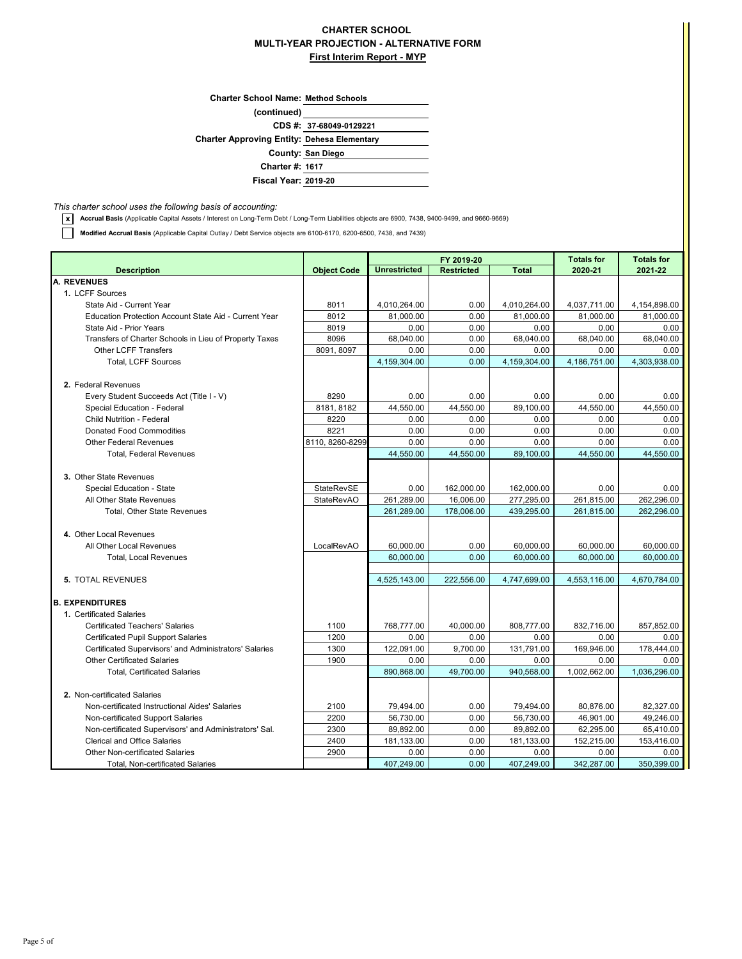## **CHARTER SCHOOL MULTI-YEAR PROJECTION - ALTERNATIVE FORM First Interim Report - MYP**

| <b>Charter School Name: Method Schools</b>         |                         |
|----------------------------------------------------|-------------------------|
| (continued)                                        |                         |
|                                                    | CDS #: 37-68049-0129221 |
| <b>Charter Approving Entity: Dehesa Elementary</b> |                         |
|                                                    | County: San Diego       |
| <b>Charter #: 1617</b>                             |                         |
| <b>Fiscal Year: 2019-20</b>                        |                         |
|                                                    |                         |

*This charter school uses the following basis of accounting:*

**x Accrual Basis** (Applicable Capital Assets / Interest on Long-Term Debt / Long-Term Liabilities objects are 6900, 7438, 9400-9499, and 9660-9669)

**Modified Accrual Basis** (Applicable Capital Outlay / Debt Service objects are 6100-6170, 6200-6500, 7438, and 7439)

|                                                        |                    |                     | FY 2019-20        | <b>Totals for</b> | <b>Totals for</b> |              |
|--------------------------------------------------------|--------------------|---------------------|-------------------|-------------------|-------------------|--------------|
| <b>Description</b>                                     | <b>Object Code</b> | <b>Unrestricted</b> | <b>Restricted</b> | <b>Total</b>      | 2020-21           | 2021-22      |
| <b>A. REVENUES</b>                                     |                    |                     |                   |                   |                   |              |
| 1. LCFF Sources                                        |                    |                     |                   |                   |                   |              |
| State Aid - Current Year                               | 8011               | 4,010,264.00        | 0.00              | 4,010,264.00      | 4,037,711.00      | 4,154,898.00 |
| Education Protection Account State Aid - Current Year  | 8012               | 81.000.00           | 0.00              | 81,000.00         | 81,000.00         | 81,000.00    |
| State Aid - Prior Years                                | 8019               | 0.00                | 0.00              | 0.00              | 0.00              | 0.00         |
| Transfers of Charter Schools in Lieu of Property Taxes | 8096               | 68,040.00           | 0.00              | 68,040.00         | 68,040.00         | 68,040.00    |
| <b>Other LCFF Transfers</b>                            | 8091, 8097         | 0.00                | 0.00              | 0.00              | 0.00              | 0.00         |
| <b>Total, LCFF Sources</b>                             |                    | 4,159,304.00        | 0.00              | 4,159,304.00      | 4,186,751.00      | 4,303,938.00 |
| 2. Federal Revenues                                    |                    |                     |                   |                   |                   |              |
| Every Student Succeeds Act (Title I - V)               | 8290               | 0.00                | 0.00              | 0.00              | 0.00              | 0.00         |
| Special Education - Federal                            | 8181, 8182         | 44.550.00           | 44.550.00         | 89.100.00         | 44.550.00         | 44.550.00    |
| <b>Child Nutrition - Federal</b>                       | 8220               | 0.00                | 0.00              | 0.00              | 0.00              | 0.00         |
| <b>Donated Food Commodities</b>                        | 8221               | 0.00                | 0.00              | 0.00              | 0.00              | 0.00         |
| <b>Other Federal Revenues</b>                          | 8110, 8260-8299    | 0.00                | 0.00              | 0.00              | 0.00              | 0.00         |
| <b>Total, Federal Revenues</b>                         |                    | 44,550.00           | 44,550.00         | 89,100.00         | 44,550.00         | 44,550.00    |
|                                                        |                    |                     |                   |                   |                   |              |
| 3. Other State Revenues                                |                    |                     |                   |                   |                   |              |
| Special Education - State                              | StateRevSE         | 0.00                | 162,000.00        | 162,000.00        | 0.00              | 0.00         |
| All Other State Revenues                               | <b>StateRevAO</b>  | 261,289.00          | 16,006.00         | 277,295.00        | 261,815.00        | 262,296.00   |
| Total, Other State Revenues                            |                    | 261,289.00          | 178,006.00        | 439,295.00        | 261,815.00        | 262,296.00   |
|                                                        |                    |                     |                   |                   |                   |              |
| 4. Other Local Revenues                                |                    |                     |                   |                   |                   |              |
| All Other Local Revenues                               | LocalRevAO         | 60,000.00           | 0.00              | 60,000.00         | 60,000.00         | 60,000.00    |
| <b>Total, Local Revenues</b>                           |                    | 60,000.00           | 0.00              | 60,000.00         | 60,000.00         | 60,000.00    |
|                                                        |                    |                     |                   |                   |                   |              |
| <b>5. TOTAL REVENUES</b>                               |                    | 4,525,143.00        | 222,556.00        | 4,747,699.00      | 4,553,116.00      | 4,670,784.00 |
| <b>B. EXPENDITURES</b>                                 |                    |                     |                   |                   |                   |              |
| 1. Certificated Salaries                               |                    |                     |                   |                   |                   |              |
| <b>Certificated Teachers' Salaries</b>                 | 1100               | 768,777.00          | 40.000.00         | 808,777.00        | 832,716.00        | 857,852.00   |
| <b>Certificated Pupil Support Salaries</b>             | 1200               | 0.00                | 0.00              | 0.00              | 0.00              | 0.00         |
| Certificated Supervisors' and Administrators' Salaries | 1300               | 122,091.00          | 9,700.00          | 131,791.00        | 169,946.00        | 178,444.00   |
| <b>Other Certificated Salaries</b>                     | 1900               | 0.00                | 0.00              | 0.00              | 0.00              | 0.00         |
| <b>Total, Certificated Salaries</b>                    |                    | 890,868.00          | 49,700.00         | 940,568.00        | 1,002,662.00      | 1,036,296.00 |
|                                                        |                    |                     |                   |                   |                   |              |
| 2. Non-certificated Salaries                           |                    |                     |                   |                   |                   |              |
| Non-certificated Instructional Aides' Salaries         | 2100               | 79,494.00           | 0.00              | 79,494.00         | 80,876.00         | 82,327.00    |
| Non-certificated Support Salaries                      | 2200               | 56,730.00           | 0.00              | 56,730.00         | 46,901.00         | 49,246.00    |
| Non-certificated Supervisors' and Administrators' Sal. | 2300               | 89,892.00           | 0.00              | 89,892.00         | 62,295.00         | 65,410.00    |
| <b>Clerical and Office Salaries</b>                    | 2400               | 181,133.00          | 0.00              | 181,133.00        | 152,215.00        | 153,416.00   |
| <b>Other Non-certificated Salaries</b>                 | 2900               | 0.00                | 0.00              | 0.00              | 0.00              | 0.00         |
| <b>Total, Non-certificated Salaries</b>                |                    | 407,249.00          | 0.00              | 407,249.00        | 342,287.00        | 350,399.00   |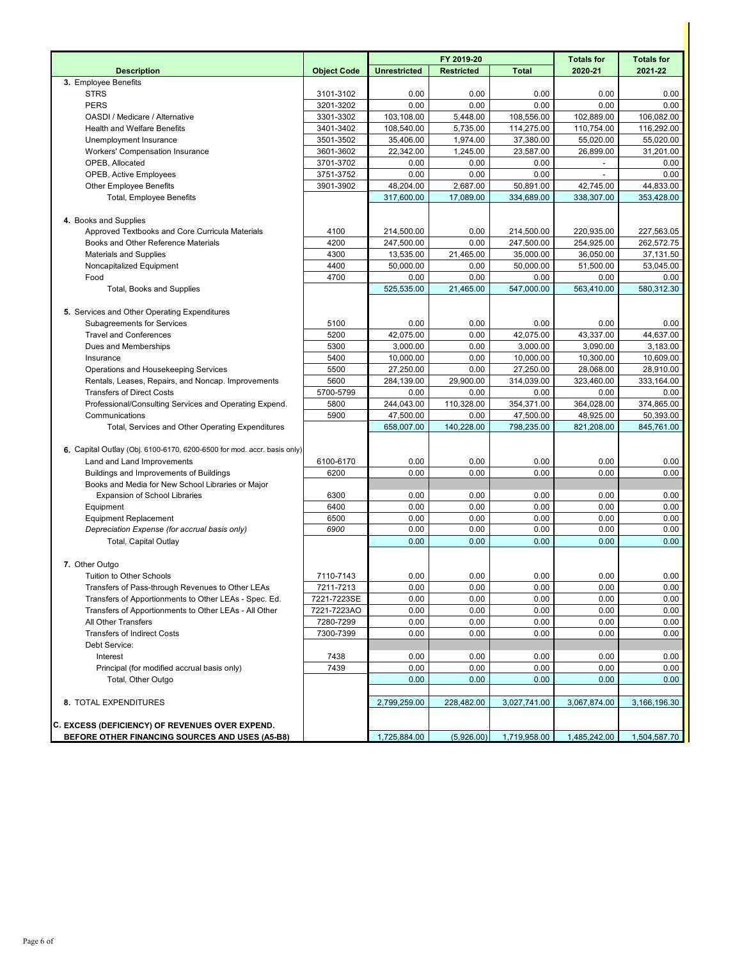|                                                                         |                    |                     | FY 2019-20        |              | <b>Totals for</b> | <b>Totals for</b> |
|-------------------------------------------------------------------------|--------------------|---------------------|-------------------|--------------|-------------------|-------------------|
| <b>Description</b>                                                      | <b>Object Code</b> | <b>Unrestricted</b> | <b>Restricted</b> | <b>Total</b> | 2020-21           | 2021-22           |
| 3. Employee Benefits                                                    |                    |                     |                   |              |                   |                   |
| <b>STRS</b>                                                             | 3101-3102          | 0.00                | 0.00              | 0.00         | 0.00              | 0.00              |
| <b>PERS</b>                                                             | 3201-3202          | 0.00                | 0.00              | 0.00         | 0.00              | 0.00              |
| OASDI / Medicare / Alternative                                          | 3301-3302          | 103,108.00          | 5,448.00          | 108,556.00   | 102,889.00        | 106,082.00        |
| <b>Health and Welfare Benefits</b>                                      | 3401-3402          | 108,540.00          | 5,735.00          | 114,275.00   | 110,754.00        | 116,292.00        |
| Unemployment Insurance                                                  | 3501-3502          | 35,406.00           | 1,974.00          | 37,380.00    | 55,020.00         | 55,020.00         |
| Workers' Compensation Insurance                                         | 3601-3602          | 22,342.00           | 1,245.00          | 23,587.00    | 26,899.00         | 31,201.00         |
| OPEB, Allocated                                                         | 3701-3702          | 0.00                | 0.00              | 0.00         |                   | 0.00              |
| OPEB, Active Employees                                                  | 3751-3752          | 0.00                | 0.00              | 0.00         |                   | 0.00              |
| <b>Other Employee Benefits</b>                                          | 3901-3902          | 48,204.00           | 2,687.00          | 50,891.00    | 42,745.00         | 44,833.00         |
| <b>Total, Employee Benefits</b>                                         |                    | 317,600.00          | 17,089.00         | 334,689.00   | 338,307.00        | 353,428.00        |
|                                                                         |                    |                     |                   |              |                   |                   |
| 4. Books and Supplies                                                   |                    |                     |                   |              |                   |                   |
| Approved Textbooks and Core Curricula Materials                         | 4100               | 214,500.00          | 0.00              | 214,500.00   | 220,935.00        | 227,563.05        |
| Books and Other Reference Materials                                     | 4200               | 247,500.00          | 0.00              | 247,500.00   | 254,925.00        | 262,572.75        |
| <b>Materials and Supplies</b>                                           | 4300               | 13,535.00           | 21,465.00         | 35,000.00    | 36,050.00         | 37,131.50         |
| Noncapitalized Equipment                                                | 4400               | 50,000.00           | 0.00              | 50,000.00    | 51,500.00         | 53,045.00         |
| Food                                                                    | 4700               | 0.00                | 0.00              | 0.00         | 0.00              | 0.00              |
| Total, Books and Supplies                                               |                    | 525,535.00          | 21,465.00         | 547,000.00   | 563,410.00        | 580,312.30        |
|                                                                         |                    |                     |                   |              |                   |                   |
| 5. Services and Other Operating Expenditures                            |                    |                     |                   |              |                   |                   |
| <b>Subagreements for Services</b>                                       | 5100               | 0.00                | 0.00              | 0.00         | 0.00              | 0.00              |
| <b>Travel and Conferences</b>                                           | 5200               | 42,075.00           | 0.00              | 42,075.00    | 43,337.00         | 44,637.00         |
| Dues and Memberships                                                    | 5300               | 3,000.00            | 0.00              | 3,000.00     | 3,090.00          | 3,183.00          |
| Insurance                                                               | 5400               | 10,000.00           | 0.00              | 10,000.00    | 10,300.00         | 10,609.00         |
| Operations and Housekeeping Services                                    | 5500               | 27,250.00           | 0.00              | 27,250.00    | 28,068.00         | 28,910.00         |
| Rentals, Leases, Repairs, and Noncap. Improvements                      | 5600               | 284,139.00          | 29,900.00         | 314,039.00   | 323,460.00        | 333,164.00        |
| <b>Transfers of Direct Costs</b>                                        | 5700-5799          | 0.00                | 0.00              | 0.00         | 0.00              | 0.00              |
| Professional/Consulting Services and Operating Expend.                  | 5800               | 244,043.00          | 110,328.00        | 354,371.00   | 364,028.00        | 374,865.00        |
| Communications                                                          | 5900               | 47,500.00           | 0.00              | 47,500.00    | 48,925.00         | 50,393.00         |
| Total, Services and Other Operating Expenditures                        |                    | 658,007.00          | 140,228.00        | 798,235.00   | 821,208.00        | 845,761.00        |
|                                                                         |                    |                     |                   |              |                   |                   |
| 6. Capital Outlay (Obj. 6100-6170, 6200-6500 for mod. accr. basis only) |                    |                     |                   |              |                   |                   |
| Land and Land Improvements                                              | 6100-6170          | 0.00                | 0.00              | 0.00         | 0.00              | 0.00              |
| Buildings and Improvements of Buildings                                 | 6200               | 0.00                | 0.00              | 0.00         | 0.00              | 0.00              |
| Books and Media for New School Libraries or Major                       |                    |                     |                   |              |                   |                   |
| <b>Expansion of School Libraries</b>                                    | 6300               | 0.00                | 0.00              | 0.00         | 0.00              | 0.00              |
| Equipment                                                               | 6400               | 0.00                | 0.00              | 0.00         | 0.00              | 0.00              |
| <b>Equipment Replacement</b>                                            | 6500               | 0.00                | 0.00              | 0.00         | 0.00              | 0.00              |
| Depreciation Expense (for accrual basis only)                           | 6900               | 0.00                | 0.00              | 0.00         | 0.00              | 0.00              |
| <b>Total, Capital Outlay</b>                                            |                    | 0.00                | 0.00              | 0.00         | 0.00              | 0.00              |
|                                                                         |                    |                     |                   |              |                   |                   |
| 7. Other Outgo                                                          |                    |                     |                   |              |                   |                   |
| Tuition to Other Schools                                                | 7110-7143          | 0.00                | 0.00              | 0.00         | 0.00              | 0.00              |
| Transfers of Pass-through Revenues to Other LEAs                        | 7211-7213          | 0.00                | 0.00              | 0.00         | 0.00              | 0.00              |
| Transfers of Apportionments to Other LEAs - Spec. Ed.                   | 7221-7223SE        | 0.00                | 0.00              | 0.00         | 0.00              | 0.00              |
| Transfers of Apportionments to Other LEAs - All Other                   | 7221-7223AO        | 0.00                | 0.00              | 0.00         | 0.00              | 0.00              |
| All Other Transfers                                                     | 7280-7299          | 0.00                | 0.00              | 0.00         | 0.00              | 0.00              |
| <b>Transfers of Indirect Costs</b>                                      | 7300-7399          | 0.00                | 0.00              | 0.00         | 0.00              | 0.00              |
| Debt Service:                                                           |                    |                     |                   |              |                   |                   |
| Interest                                                                | 7438               | 0.00                | 0.00              | 0.00         | 0.00              | 0.00              |
| Principal (for modified accrual basis only)                             | 7439               | 0.00                | 0.00              | 0.00         | 0.00              | 0.00              |
| Total, Other Outgo                                                      |                    | 0.00                | 0.00              | 0.00         | 0.00              | 0.00              |
|                                                                         |                    |                     |                   |              |                   |                   |
| 8. TOTAL EXPENDITURES                                                   |                    | 2,799,259.00        | 228,482.00        | 3,027,741.00 | 3,067,874.00      | 3,166,196.30      |
|                                                                         |                    |                     |                   |              |                   |                   |
| C. EXCESS (DEFICIENCY) OF REVENUES OVER EXPEND.                         |                    |                     |                   |              |                   |                   |
| BEFORE OTHER FINANCING SOURCES AND USES (A5-B8)                         |                    | 1,725,884.00        | (5,926.00)        | 1,719,958.00 | 1,485,242.00      | 1,504,587.70      |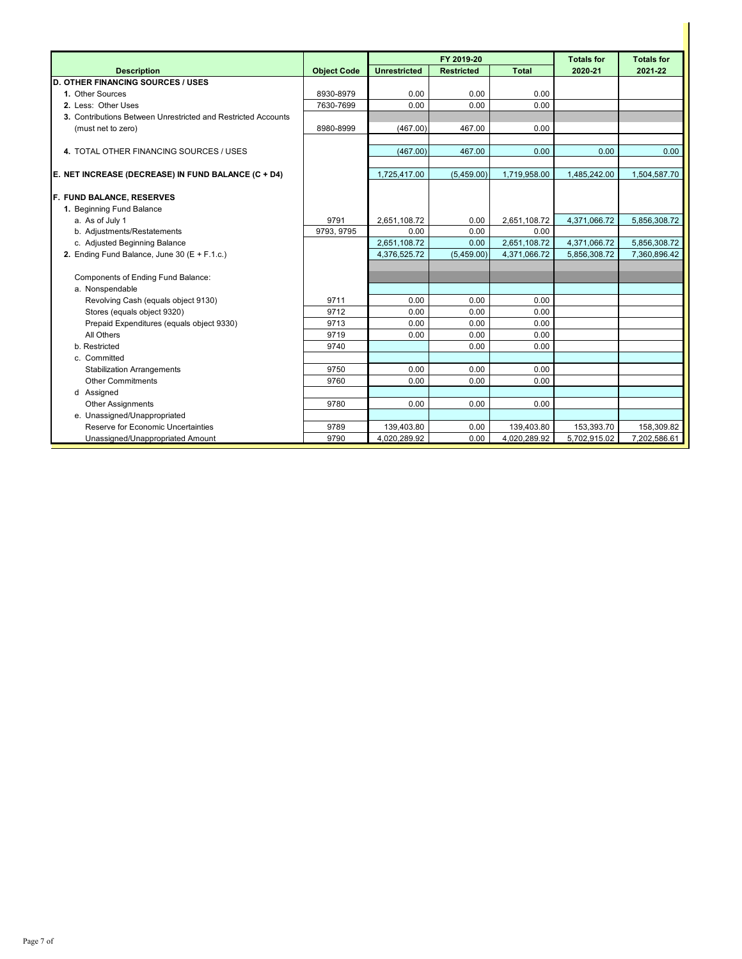|                                                               |                    |                     | FY 2019-20        | <b>Totals for</b> | <b>Totals for</b> |              |
|---------------------------------------------------------------|--------------------|---------------------|-------------------|-------------------|-------------------|--------------|
| <b>Description</b>                                            | <b>Object Code</b> | <b>Unrestricted</b> | <b>Restricted</b> | <b>Total</b>      | 2020-21           | 2021-22      |
| <b>D. OTHER FINANCING SOURCES / USES</b>                      |                    |                     |                   |                   |                   |              |
| 1. Other Sources                                              | 8930-8979          | 0.00                | 0.00              | 0.00              |                   |              |
| 2. Less: Other Uses                                           | 7630-7699          | 0.00                | 0.00              | 0.00              |                   |              |
| 3. Contributions Between Unrestricted and Restricted Accounts |                    |                     |                   |                   |                   |              |
| (must net to zero)                                            | 8980-8999          | (467.00)            | 467.00            | 0.00              |                   |              |
|                                                               |                    |                     |                   |                   |                   |              |
| 4. TOTAL OTHER FINANCING SOURCES / USES                       |                    | (467.00)            | 467.00            | 0.00              | 0.00              | 0.00         |
|                                                               |                    |                     |                   |                   |                   |              |
| E. NET INCREASE (DECREASE) IN FUND BALANCE (C + D4)           |                    | 1,725,417.00        | (5,459.00)        | 1,719,958.00      | 1,485,242.00      | 1,504,587.70 |
| F. FUND BALANCE, RESERVES                                     |                    |                     |                   |                   |                   |              |
| 1. Beginning Fund Balance                                     |                    |                     |                   |                   |                   |              |
| a. As of July 1                                               | 9791               | 2,651,108.72        | 0.00              | 2,651,108.72      | 4,371,066.72      | 5,856,308.72 |
| b. Adjustments/Restatements                                   | 9793, 9795         | 0.00                | 0.00              | 0.00              |                   |              |
| c. Adjusted Beginning Balance                                 |                    | 2,651,108.72        | 0.00              | 2,651,108.72      | 4,371,066.72      | 5,856,308.72 |
| 2. Ending Fund Balance, June 30 (E + F.1.c.)                  |                    | 4.376.525.72        | (5,459.00)        | 4,371,066.72      | 5,856,308.72      | 7.360.896.42 |
|                                                               |                    |                     |                   |                   |                   |              |
| Components of Ending Fund Balance:                            |                    |                     |                   |                   |                   |              |
| a. Nonspendable                                               |                    |                     |                   |                   |                   |              |
| Revolving Cash (equals object 9130)                           | 9711               | 0.00                | 0.00              | 0.00              |                   |              |
| Stores (equals object 9320)                                   | 9712               | 0.00                | 0.00              | 0.00              |                   |              |
| Prepaid Expenditures (equals object 9330)                     | 9713               | 0.00                | 0.00              | 0.00              |                   |              |
| All Others                                                    | 9719               | 0.00                | 0.00              | 0.00              |                   |              |
| b. Restricted                                                 | 9740               |                     | 0.00              | 0.00              |                   |              |
| c. Committed                                                  |                    |                     |                   |                   |                   |              |
| <b>Stabilization Arrangements</b>                             | 9750               | 0.00                | 0.00              | 0.00              |                   |              |
| <b>Other Commitments</b>                                      | 9760               | 0.00                | 0.00              | 0.00              |                   |              |
| d Assigned                                                    |                    |                     |                   |                   |                   |              |
| <b>Other Assignments</b>                                      | 9780               | 0.00                | 0.00              | 0.00              |                   |              |
| e. Unassigned/Unappropriated                                  |                    |                     |                   |                   |                   |              |
| Reserve for Economic Uncertainties                            | 9789               | 139,403.80          | 0.00              | 139,403.80        | 153,393.70        | 158,309.82   |
| Unassigned/Unappropriated Amount                              | 9790               | 4,020,289.92        | 0.00              | 4,020,289.92      | 5,702,915.02      | 7,202,586.61 |